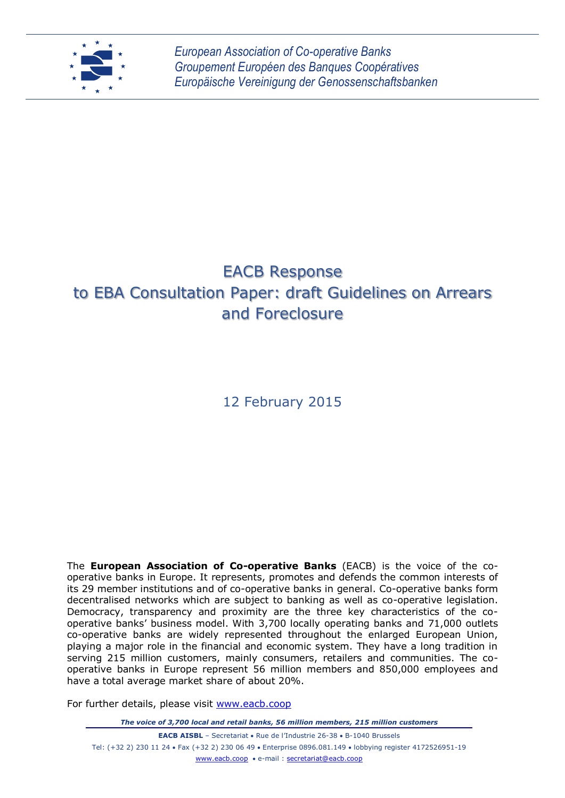

# EACB Response to EBA Consultation Paper: draft Guidelines on Arrears and Foreclosure

# 12 February 2015

The **European Association of Co-operative Banks** (EACB) is the voice of the cooperative banks in Europe. It represents, promotes and defends the common interests of its 29 member institutions and of co-operative banks in general. Co-operative banks form decentralised networks which are subject to banking as well as co-operative legislation. Democracy, transparency and proximity are the three key characteristics of the cooperative banks' business model. With 3,700 locally operating banks and 71,000 outlets co-operative banks are widely represented throughout the enlarged European Union, playing a major role in the financial and economic system. They have a long tradition in serving 215 million customers, mainly consumers, retailers and communities. The cooperative banks in Europe represent 56 million members and 850,000 employees and have a total average market share of about 20%.

For further details, please visit [www.eacb.coop](http://www.eacb.coop/)

*The voice of 3,700 local and retail banks, 56 million members, 215 million customers*

**EACB AISBL** – Secretariat • Rue de l'Industrie 26-38 • B-1040 Brussels Tel: (+32 2) 230 11 24 Fax (+32 2) 230 06 49 Enterprise 0896.081.149 lobbying register 4172526951-19 [www.eacb.coop](http://www.eacb.coop/) e-mail : [secretariat@eacb.coop](mailto:secretariat@eacb.coop)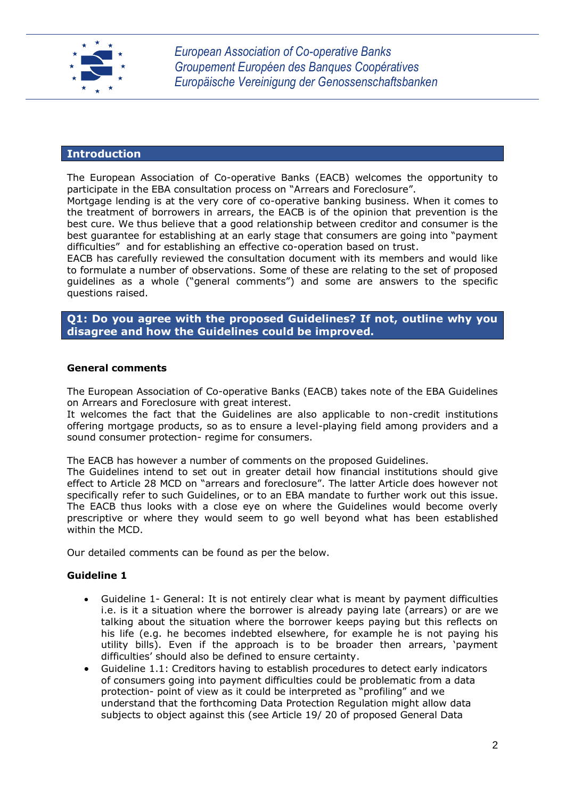

#### **Introduction**

The European Association of Co-operative Banks (EACB) welcomes the opportunity to participate in the EBA consultation process on "Arrears and Foreclosure".

Mortgage lending is at the very core of co-operative banking business. When it comes to the treatment of borrowers in arrears, the EACB is of the opinion that prevention is the best cure. We thus believe that a good relationship between creditor and consumer is the best guarantee for establishing at an early stage that consumers are going into "payment difficulties" and for establishing an effective co-operation based on trust.

EACB has carefully reviewed the consultation document with its members and would like to formulate a number of observations. Some of these are relating to the set of proposed guidelines as a whole ("general comments") and some are answers to the specific questions raised.

**Q1: Do you agree with the proposed Guidelines? If not, outline why you disagree and how the Guidelines could be improved.** 

#### **General comments**

The European Association of Co-operative Banks (EACB) takes note of the EBA Guidelines on Arrears and Foreclosure with great interest.

It welcomes the fact that the Guidelines are also applicable to non-credit institutions offering mortgage products, so as to ensure a level-playing field among providers and a sound consumer protection- regime for consumers.

The EACB has however a number of comments on the proposed Guidelines.

The Guidelines intend to set out in greater detail how financial institutions should give effect to Article 28 MCD on "arrears and foreclosure". The latter Article does however not specifically refer to such Guidelines, or to an EBA mandate to further work out this issue. The EACB thus looks with a close eye on where the Guidelines would become overly prescriptive or where they would seem to go well beyond what has been established within the MCD.

Our detailed comments can be found as per the below.

#### **Guideline 1**

- Guideline 1- General: It is not entirely clear what is meant by payment difficulties i.e. is it a situation where the borrower is already paying late (arrears) or are we talking about the situation where the borrower keeps paying but this reflects on his life (e.g. he becomes indebted elsewhere, for example he is not paying his utility bills). Even if the approach is to be broader then arrears, 'payment difficulties' should also be defined to ensure certainty.
- Guideline 1.1: Creditors having to establish procedures to detect early indicators of consumers going into payment difficulties could be problematic from a data protection- point of view as it could be interpreted as "profiling" and we understand that the forthcoming Data Protection Regulation might allow data subjects to object against this (see Article 19/ 20 of proposed General Data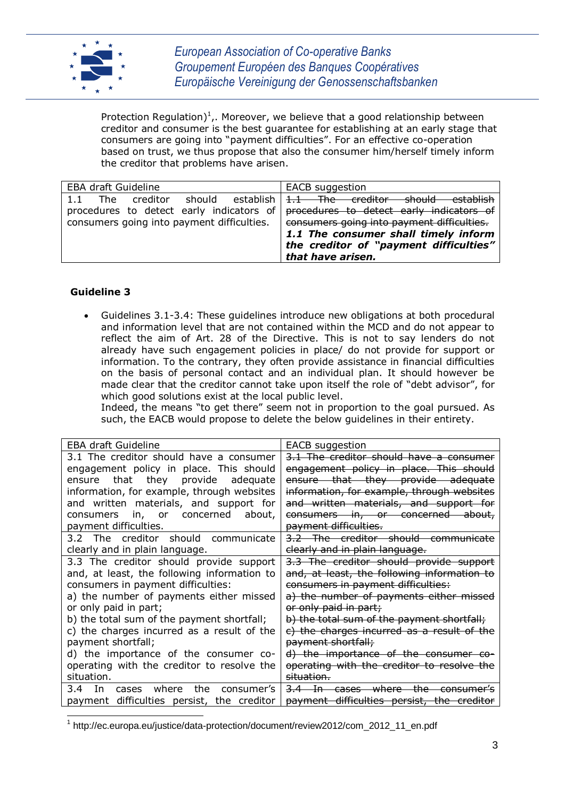

Protection Regulation)<sup>1</sup>,. Moreover, we believe that a good relationship between creditor and consumer is the best guarantee for establishing at an early stage that consumers are going into "payment difficulties". For an effective co-operation based on trust, we thus propose that also the consumer him/herself timely inform the creditor that problems have arisen.

| <b>EBA draft Guideline</b>                                                                  | <b>EACB</b> suggestion                                                                                                                            |  |
|---------------------------------------------------------------------------------------------|---------------------------------------------------------------------------------------------------------------------------------------------------|--|
| should<br>establish I<br>The<br>creditor<br>1.1<br>procedures to detect early indicators of | establish<br>1.1 The creditor<br><del>should</del><br>procedures to detect early indicators of                                                    |  |
| consumers going into payment difficulties.                                                  | consumers going into payment difficulties.<br>1.1 The consumer shall timely inform<br>the creditor of "payment difficulties"<br>that have arisen. |  |

### **Guideline 3**

 Guidelines 3.1-3.4: These guidelines introduce new obligations at both procedural and information level that are not contained within the MCD and do not appear to reflect the aim of Art. 28 of the Directive. This is not to say lenders do not already have such engagement policies in place/ do not provide for support or information. To the contrary, they often provide assistance in financial difficulties on the basis of personal contact and an individual plan. It should however be made clear that the creditor cannot take upon itself the role of "debt advisor", for which good solutions exist at the local public level.

Indeed, the means "to get there" seem not in proportion to the goal pursued. As such, the EACB would propose to delete the below guidelines in their entirety.

| <b>EBA draft Guideline</b>                  | EACB suggestion                             |  |
|---------------------------------------------|---------------------------------------------|--|
| 3.1 The creditor should have a consumer     | 3.1 The creditor should have a consumer     |  |
| engagement policy in place. This should     | engagement policy in place. This should     |  |
| ensure that they provide adequate           | ensure that they provide adequate           |  |
| information, for example, through websites  | information, for example, through websites  |  |
| and written materials, and support for      | and written materials, and support for      |  |
| consumers in, or concerned about,           | consumers in, or concerned about,           |  |
| payment difficulties.                       | payment difficulties.                       |  |
| 3.2 The creditor should communicate         | 3.2 The creditor should communicate         |  |
| clearly and in plain language.              | clearly and in plain language.              |  |
| 3.3 The creditor should provide support     | 3.3 The creditor should provide support     |  |
| and, at least, the following information to | and, at least, the following information to |  |
| consumers in payment difficulties:          | consumers in payment difficulties:          |  |
| a) the number of payments either missed     | a) the number of payments either missed     |  |
| or only paid in part;                       | or only paid in part;                       |  |
| b) the total sum of the payment shortfall;  | b) the total sum of the payment shortfall;  |  |
| c) the charges incurred as a result of the  | c) the charges incurred as a result of the  |  |
| payment shortfall;                          | payment shortfall;                          |  |
| d) the importance of the consumer co-       | d) the importance of the consumer co-       |  |
| operating with the creditor to resolve the  | operating with the creditor to resolve the  |  |
| situation.                                  | situation.                                  |  |
| cases where<br>the consumer's<br>3.4<br>In. | 3.4 In cases where the consumer's           |  |
| payment difficulties persist, the creditor  | payment difficulties persist, the creditor  |  |

j 1 http://ec.europa.eu/justice/data-protection/document/review2012/com\_2012\_11\_en.pdf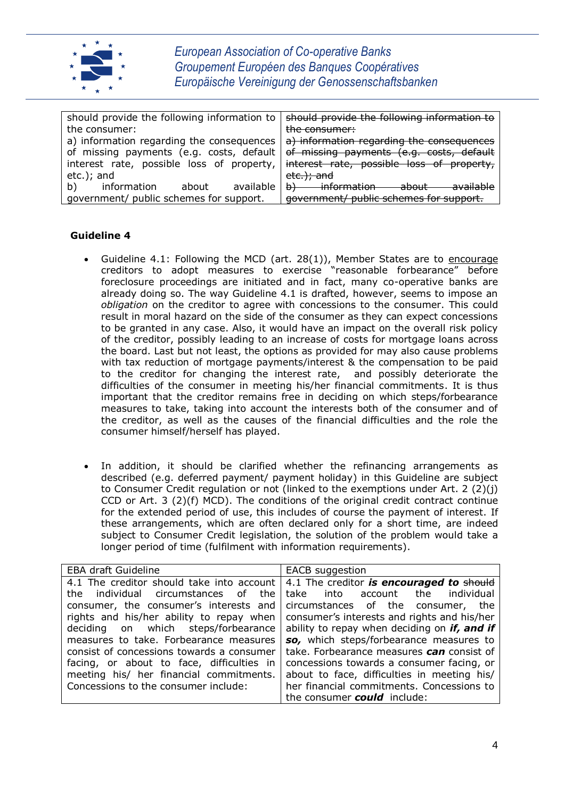

| should provide the following information to | should provide the following information to                |  |  |
|---------------------------------------------|------------------------------------------------------------|--|--|
| the consumer:                               | the consumer:                                              |  |  |
| a) information regarding the consequences   | a) information regarding the consequences                  |  |  |
| of missing payments (e.g. costs, default    | of missing payments (e.g. costs, default                   |  |  |
| interest rate, possible loss of property,   | interest rate, possible loss of property,                  |  |  |
| $etc.$ ; and                                | etc.); and                                                 |  |  |
| available<br>information<br>b)<br>about     | information about<br><del>b)</del><br><del>available</del> |  |  |
| government/ public schemes for support.     | government/ public schemes for support.                    |  |  |
|                                             |                                                            |  |  |

### **Guideline 4**

- Guideline 4.1: Following the MCD (art. 28(1)), Member States are to encourage creditors to adopt measures to exercise "reasonable forbearance" before foreclosure proceedings are initiated and in fact, many co-operative banks are already doing so. The way Guideline 4.1 is drafted, however, seems to impose an *obligation* on the creditor to agree with concessions to the consumer. This could result in moral hazard on the side of the consumer as they can expect concessions to be granted in any case. Also, it would have an impact on the overall risk policy of the creditor, possibly leading to an increase of costs for mortgage loans across the board. Last but not least, the options as provided for may also cause problems with tax reduction of mortgage payments/interest & the compensation to be paid to the creditor for changing the interest rate, and possibly deteriorate the difficulties of the consumer in meeting his/her financial commitments. It is thus important that the creditor remains free in deciding on which steps/forbearance measures to take, taking into account the interests both of the consumer and of the creditor, as well as the causes of the financial difficulties and the role the consumer himself/herself has played.
- In addition, it should be clarified whether the refinancing arrangements as described (e.g. deferred payment/ payment holiday) in this Guideline are subject to Consumer Credit regulation or not (linked to the exemptions under Art. 2 (2)(j) CCD or Art. 3 (2)(f) MCD). The conditions of the original credit contract continue for the extended period of use, this includes of course the payment of interest. If these arrangements, which are often declared only for a short time, are indeed subject to Consumer Credit legislation, the solution of the problem would take a longer period of time (fulfilment with information requirements).

| <b>EBA draft Guideline</b>                | <b>EACB</b> suggestion                                                                            |
|-------------------------------------------|---------------------------------------------------------------------------------------------------|
|                                           | 4.1 The creditor should take into account $\vert$ 4.1 The creditor <b>is encouraged to</b> should |
|                                           | the individual circumstances of the take into account the individual                              |
| consumer, the consumer's interests and    | circumstances of the consumer, the                                                                |
| rights and his/her ability to repay when  | consumer's interests and rights and his/her                                                       |
| deciding on which steps/forbearance       | ability to repay when deciding on <i>if, and if</i>                                               |
| measures to take. Forbearance measures    | so, which steps/forbearance measures to                                                           |
| consist of concessions towards a consumer | take. Forbearance measures can consist of                                                         |
| facing, or about to face, difficulties in | concessions towards a consumer facing, or                                                         |
| meeting his/ her financial commitments.   | about to face, difficulties in meeting his/                                                       |
| Concessions to the consumer include:      | her financial commitments. Concessions to                                                         |
|                                           | the consumer <b>could</b> include:                                                                |